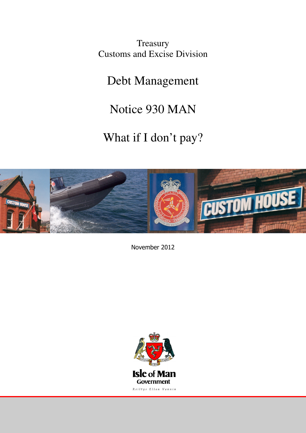**Treasury** Customs and Excise Division

Debt Management

Notice 930 MAN

What if I don't pay?



November 2012

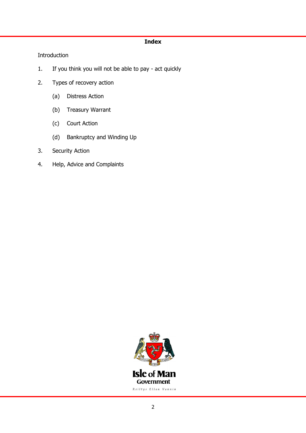## Index

# Introduction

- 1. If you think you will not be able to pay act quickly
- 2. Types of recovery action
	- (a) Distress Action
	- (b) Treasury Warrant
	- (c) Court Action
	- (d) Bankruptcy and Winding Up
- 3. Security Action
- 4. Help, Advice and Complaints

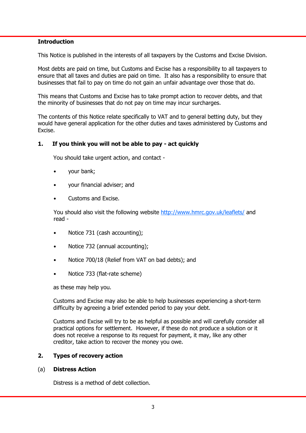#### **Introduction**

This Notice is published in the interests of all taxpayers by the Customs and Excise Division.

Most debts are paid on time, but Customs and Excise has a responsibility to all taxpayers to ensure that all taxes and duties are paid on time. It also has a responsibility to ensure that businesses that fail to pay on time do not gain an unfair advantage over those that do.

This means that Customs and Excise has to take prompt action to recover debts, and that the minority of businesses that do not pay on time may incur surcharges.

The contents of this Notice relate specifically to VAT and to general betting duty, but they would have general application for the other duties and taxes administered by Customs and Excise.

#### 1. If you think you will not be able to pay - act quickly

You should take urgent action, and contact -

- your bank;
- your financial adviser; and
- Customs and Excise.

You should also visit the following website http://www.hmrc.gov.uk/leaflets/ and read -

- Notice 731 (cash accounting);
- Notice 732 (annual accounting);
- Notice 700/18 (Relief from VAT on bad debts); and
- Notice 733 (flat-rate scheme)

as these may help you.

 Customs and Excise may also be able to help businesses experiencing a short-term difficulty by agreeing a brief extended period to pay your debt.

 Customs and Excise will try to be as helpful as possible and will carefully consider all practical options for settlement. However, if these do not produce a solution or it does not receive a response to its request for payment, it may, like any other creditor, take action to recover the money you owe.

## 2. Types of recovery action

#### (a) Distress Action

Distress is a method of debt collection.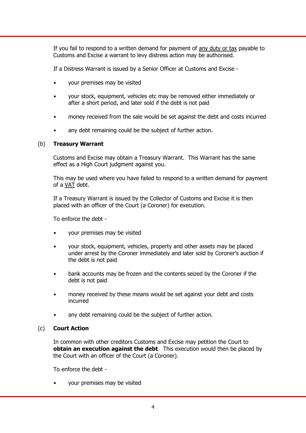If you fail to respond to a written demand for payment of any duty or tax payable to Customs and Excise a warrant to levy distress action may be authorised.

If a Distress Warrant is issued by a Senior Officer at Customs and Excise -

- your premises may be visited
- your stock, equipment, vehicles etc may be removed either immediately or after a short period, and later sold if the debt is not paid
- money received from the sale would be set against the debt and costs incurred
- any debt remaining could be the subject of further action.

## (b) Treasury Warrant

 Customs and Excise may obtain a Treasury Warrant. This Warrant has the same effect as a High Court judgment against you.

 This may be used where you have failed to respond to a written demand for payment of a VAT debt.

 If a Treasury Warrant is issued by the Collector of Customs and Excise it is then placed with an officer of the Court (a Coroner) for execution.

To enforce the debt -

- your premises may be visited
- your stock, equipment, vehicles, property and other assets may be placed under arrest by the Coroner immediately and later sold by Coroner's auction if the debt is not paid
- bank accounts may be frozen and the contents seized by the Coroner if the debt is not paid
- money received by these means would be set against your debt and costs incurred
- any debt remaining could be the subject of further action.

## (c) Court Action

 In common with other creditors Customs and Excise may petition the Court to obtain an execution against the debt. This execution would then be placed by the Court with an officer of the Court (a Coroner).

To enforce the debt -

• your premises may be visited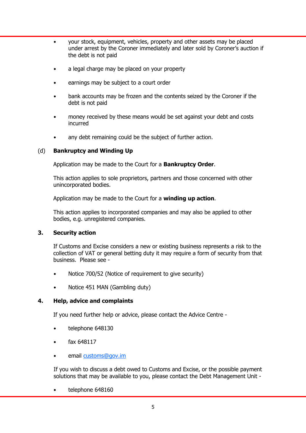- your stock, equipment, vehicles, property and other assets may be placed under arrest by the Coroner immediately and later sold by Coroner's auction if the debt is not paid
- a legal charge may be placed on your property
- earnings may be subject to a court order
- bank accounts may be frozen and the contents seized by the Coroner if the debt is not paid
- money received by these means would be set against your debt and costs incurred
- any debt remaining could be the subject of further action.

## (d) Bankruptcy and Winding Up

Application may be made to the Court for a **Bankruptcy Order.** 

 This action applies to sole proprietors, partners and those concerned with other unincorporated bodies.

Application may be made to the Court for a winding up action.

 This action applies to incorporated companies and may also be applied to other bodies, e.g. unregistered companies.

## 3. Security action

 If Customs and Excise considers a new or existing business represents a risk to the collection of VAT or general betting duty it may require a form of security from that business. Please see -

- Notice 700/52 (Notice of requirement to give security)
- Notice 451 MAN (Gambling duty)

## 4. Help, advice and complaints

If you need further help or advice, please contact the Advice Centre -

- telephone 648130
- fax 648117
- email customs@gov.im

If you wish to discuss a debt owed to Customs and Excise, or the possible payment solutions that may be available to you, please contact the Debt Management Unit -

• telephone 648160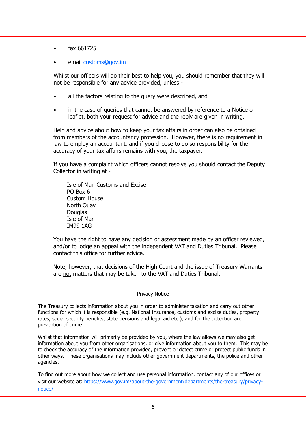- fax 661725
- email customs@gov.im

Whilst our officers will do their best to help you, you should remember that they will not be responsible for any advice provided, unless -

- all the factors relating to the query were described, and
- in the case of queries that cannot be answered by reference to a Notice or leaflet, both your request for advice and the reply are given in writing.

 Help and advice about how to keep your tax affairs in order can also be obtained from members of the accountancy profession. However, there is no requirement in law to employ an accountant, and if you choose to do so responsibility for the accuracy of your tax affairs remains with you, the taxpayer.

 If you have a complaint which officers cannot resolve you should contact the Deputy Collector in writing at -

 Isle of Man Customs and Excise PO Box 6 Custom House North Quay **Douglas**  Isle of Man IM99 1AG

 You have the right to have any decision or assessment made by an officer reviewed, and/or to lodge an appeal with the independent VAT and Duties Tribunal. Please contact this office for further advice.

 Note, however, that decisions of the High Court and the issue of Treasury Warrants are not matters that may be taken to the VAT and Duties Tribunal.

#### Privacy Notice

The Treasury collects information about you in order to administer taxation and carry out other functions for which it is responsible (e.g. National Insurance, customs and excise duties, property rates, social security benefits, state pensions and legal aid etc.), and for the detection and prevention of crime.

Whilst that information will primarily be provided by you, where the law allows we may also get information about you from other organisations, or give information about you to them. This may be to check the accuracy of the information provided, prevent or detect crime or protect public funds in other ways. These organisations may include other government departments, the police and other agencies.

To find out more about how we collect and use personal information, contact any of our offices or visit our website at: https://www.gov.im/about-the-government/departments/the-treasury/privacynotice/